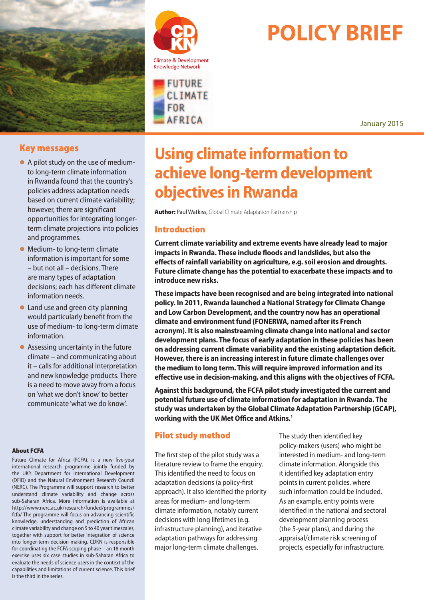

## Key messages

- l A pilot study on the use of mediumto long-term climate information in Rwanda found that the country's policies address adaptation needs based on current climate variability; however, there are significant opportunities for integrating longerterm climate projections into policies and programmes.
- Medium- to long-term climate information is important for some – but not all – decisions. There are many types of adaptation decisions; each has different climate information needs.
- Land use and green city planning would particularly benefit from the use of medium- to long-term climate information.
- $\bullet$  Assessing uncertainty in the future climate – and communicating about it – calls for additional interpretation and new knowledge products. There is a need to move away from a focus on 'what we don't know' to better communicate 'what we do know'.

#### About FCFA

Future Climate for Africa (FCFA), is a new five-year international research programme jointly funded by the UK's Department for International Development (DFID) and the Natural Environment Research Council (NERC). The Programme will support research to better understand climate variability and change across sub-Saharan Africa. More information is available at http://www.nerc.ac.uk/research/funded/programmes/ fcfa/ The programme will focus on advancing scientific knowledge, understanding and prediction of African climate variability and change on 5 to 40 year timescales, together with support for better integration of science into longer-term decision making. CDKN is responsible for coordinating the FCFA scoping phase – an 18 month exercise uses six case studies in sub-Saharan Africa to evaluate the needs of science users in the context of the capabilities and limitations of current science. This brief is the third in the series.





# **POLICY BRIEF**

January 2015

# **Using climate information to achieve long-term development objectives in Rwanda**

Author: Paul Watkiss, Global Climate Adaptation Partnership

## Introduction

**Current climate variability and extreme events have already lead to major impacts in Rwanda. These include floods and landslides, but also the effects of rainfall variability on agriculture, e.g. soil erosion and droughts. Future climate change has the potential to exacerbate these impacts and to introduce new risks.** 

**These impacts have been recognised and are being integrated into national policy. In 2011, Rwanda launched a National Strategy for Climate Change and Low Carbon Development, and the country now has an operational climate and environment fund (FONERWA, named after its French acronym). It is also mainstreaming climate change into national and sector development plans. The focus of early adaptation in these policies has been on addressing current climate variability and the existing adaptation deficit. However, there is an increasing interest in future climate challenges over the medium to long term. This will require improved information and its effective use in decision-making, and this aligns with the objectives of FCFA.** 

**Against this background, the FCFA pilot study investigated the current and potential future use of climate information for adaptation in Rwanda. The study was undertaken by the Global Climate Adaptation Partnership (GCAP), working with the UK Met Office and Atkins.1**

# Pilot study method

The first step of the pilot study was a literature review to frame the enquiry. This identified the need to focus on adaptation decisions (a policy-first approach). It also identified the priority areas for medium- and long-term climate information, notably current decisions with long lifetimes (e.g. infrastructure planning), and iterative adaptation pathways for addressing major long-term climate challenges.

The study then identified key policy-makers (users) who might be interested in medium- and long-term climate information. Alongside this it identified key adaptation entry points in current policies, where such information could be included. As an example, entry points were identified in the national and sectoral development planning process (the 5-year plans), and during the appraisal/climate risk screening of projects, especially for infrastructure.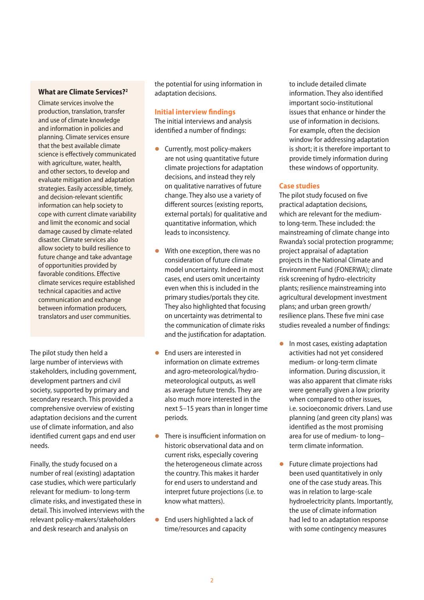#### **What are Climate Services?2**

Climate services involve the production, translation, transfer and use of climate knowledge and information in policies and planning. Climate services ensure that the best available climate science is effectively communicated with agriculture, water, health, and other sectors, to develop and evaluate mitigation and adaptation strategies. Easily accessible, timely, and decision-relevant scientific information can help society to cope with current climate variability and limit the economic and social damage caused by climate-related disaster. Climate services also allow society to build resilience to future change and take advantage of opportunities provided by favorable conditions. Effective climate services require established technical capacities and active communication and exchange between information producers, translators and user communities.

The pilot study then held a large number of interviews with stakeholders, including government, development partners and civil society, supported by primary and secondary research. This provided a comprehensive overview of existing adaptation decisions and the current use of climate information, and also identified current gaps and end user needs.

Finally, the study focused on a number of real (existing) adaptation case studies, which were particularly relevant for medium- to long-term climate risks, and investigated these in detail. This involved interviews with the relevant policy-makers/stakeholders and desk research and analysis on

the potential for using information in adaptation decisions.

#### **Initial interview findings**

The initial interviews and analysis identified a number of findings:

- **Currently, most policy-makers** are not using quantitative future climate projections for adaptation decisions, and instead they rely on qualitative narratives of future change. They also use a variety of different sources (existing reports, external portals) for qualitative and quantitative information, which leads to inconsistency.
- $\bullet$  With one exception, there was no consideration of future climate model uncertainty. Indeed in most cases, end users omit uncertainty even when this is included in the primary studies/portals they cite. They also highlighted that focusing on uncertainty was detrimental to the communication of climate risks and the justification for adaptation.
- **•** End users are interested in information on climate extremes and agro-meteorological/hydrometeorological outputs, as well as average future trends. They are also much more interested in the next 5–15 years than in longer time periods.
- **•** There is insufficient information on historic observational data and on current risks, especially covering the heterogeneous climate across the country. This makes it harder for end users to understand and interpret future projections (i.e. to know what matters).
- $\bullet$  End users highlighted a lack of time/resources and capacity

to include detailed climate information. They also identified important socio-institutional issues that enhance or hinder the use of information in decisions. For example, often the decision window for addressing adaptation is short; it is therefore important to provide timely information during these windows of opportunity.

#### **Case studies**

The pilot study focused on five practical adaptation decisions, which are relevant for the mediumto long-term. These included: the mainstreaming of climate change into Rwanda's social protection programme; project appraisal of adaptation projects in the National Climate and Environment Fund (FONERWA); climate risk screening of hydro-electricity plants; resilience mainstreaming into agricultural development investment plans; and urban green growth/ resilience plans. These five mini case studies revealed a number of findings:

- $\bullet$  In most cases, existing adaptation activities had not yet considered medium- or long-term climate information. During discussion, it was also apparent that climate risks were generally given a low priority when compared to other issues, i.e. socioeconomic drivers. Land use planning (and green city plans) was identified as the most promising area for use of medium- to long– term climate information.
- $\bullet$  Future climate projections had been used quantitatively in only one of the case study areas. This was in relation to large-scale hydroelectricity plants. Importantly, the use of climate information had led to an adaptation response with some contingency measures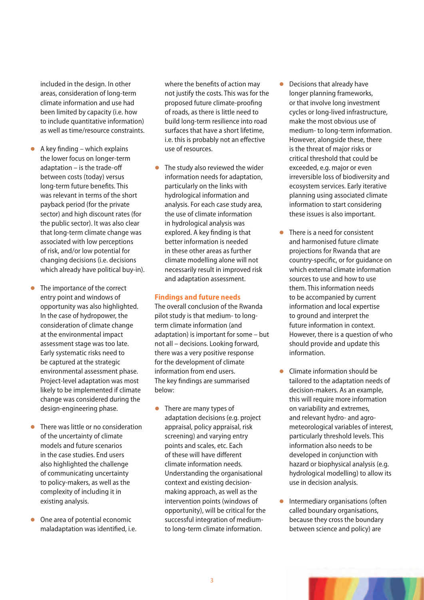included in the design. In other areas, consideration of long-term climate information and use had been limited by capacity (i.e. how to include quantitative information) as well as time/resource constraints.

- $\bullet$  A key finding which explains the lower focus on longer-term adaptation – is the trade-off between costs (today) versus long-term future benefits. This was relevant in terms of the short payback period (for the private sector) and high discount rates (for the public sector). It was also clear that long-term climate change was associated with low perceptions of risk, and/or low potential for changing decisions (i.e. decisions which already have political buy-in).
- The importance of the correct entry point and windows of opportunity was also highlighted. In the case of hydropower, the consideration of climate change at the environmental impact assessment stage was too late. Early systematic risks need to be captured at the strategic environmental assessment phase. Project-level adaptation was most likely to be implemented if climate change was considered during the design-engineering phase.
- $\bullet$  There was little or no consideration of the uncertainty of climate models and future scenarios in the case studies. End users also highlighted the challenge of communicating uncertainty to policy-makers, as well as the complexity of including it in existing analysis.
- $\bullet$  One area of potential economic maladaptation was identified, i.e.

where the benefits of action may not justify the costs. This was for the proposed future climate-proofing of roads, as there is little need to build long-term resilience into road surfaces that have a short lifetime, i.e. this is probably not an effective use of resources.

 $\bullet$  The study also reviewed the wider information needs for adaptation, particularly on the links with hydrological information and analysis. For each case study area, the use of climate information in hydrological analysis was explored. A key finding is that better information is needed in these other areas as further climate modelling alone will not necessarily result in improved risk and adaptation assessment.

#### **Findings and future needs**

The overall conclusion of the Rwanda pilot study is that medium- to longterm climate information (and adaptation) is important for some – but not all – decisions. Looking forward, there was a very positive response for the development of climate information from end users. The key findings are summarised below:

 $\bullet$  There are many types of adaptation decisions (e.g. project appraisal, policy appraisal, risk screening) and varying entry points and scales, etc. Each of these will have different climate information needs. Understanding the organisational context and existing decisionmaking approach, as well as the intervention points (windows of opportunity), will be critical for the successful integration of mediumto long-term climate information.

- $\bullet$  Decisions that already have longer planning frameworks, or that involve long investment cycles or long-lived infrastructure, make the most obvious use of medium- to long-term information. However, alongside these, there is the threat of major risks or critical threshold that could be exceeded, e.g. major or even irreversible loss of biodiversity and ecosystem services. Early iterative planning using associated climate information to start considering these issues is also important.
- $\bullet$  There is a need for consistent and harmonised future climate projections for Rwanda that are country-specific, or for guidance on which external climate information sources to use and how to use them. This information needs to be accompanied by current information and local expertise to ground and interpret the future information in context. However, there is a question of who should provide and update this information.
- $\bullet$  Climate information should be tailored to the adaptation needs of decision-makers. As an example, this will require more information on variability and extremes, and relevant hydro- and agrometeorological variables of interest, particularly threshold levels. This information also needs to be developed in conjunction with hazard or biophysical analysis (e.g. hydrological modelling) to allow its use in decision analysis.
- $\bullet$  Intermediary organisations (often called boundary organisations, because they cross the boundary between science and policy) are